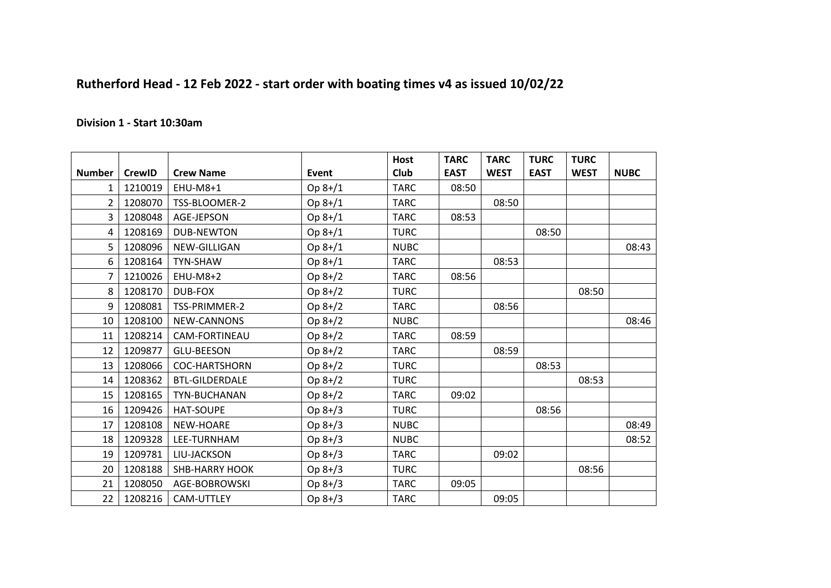## **Rutherford Head - 12 Feb 2022 - start order with boating times v4 as issued 10/02/22**

## **Division 1 - Start 10:30am**

|                |               |                       |           | <b>Host</b> | <b>TARC</b> | <b>TARC</b> | <b>TURC</b> | <b>TURC</b> |             |
|----------------|---------------|-----------------------|-----------|-------------|-------------|-------------|-------------|-------------|-------------|
| <b>Number</b>  | <b>CrewID</b> | <b>Crew Name</b>      | Event     | <b>Club</b> | <b>EAST</b> | <b>WEST</b> | <b>EAST</b> | <b>WEST</b> | <b>NUBC</b> |
| $\mathbf{1}$   | 1210019       | EHU-M8+1              | $Op 8+/1$ | <b>TARC</b> | 08:50       |             |             |             |             |
| $\mathcal{L}$  | 1208070       | TSS-BLOOMER-2         | Op 8+/1   | <b>TARC</b> |             | 08:50       |             |             |             |
| 3              | 1208048       | AGE-JEPSON            | Op 8+/1   | <b>TARC</b> | 08:53       |             |             |             |             |
| 4              | 1208169       | <b>DUB-NEWTON</b>     | Op 8+/1   | <b>TURC</b> |             |             | 08:50       |             |             |
| 5              | 1208096       | NEW-GILLIGAN          | Op 8+/1   | <b>NUBC</b> |             |             |             |             | 08:43       |
| 6              | 1208164       | <b>TYN-SHAW</b>       | Op 8+/1   | <b>TARC</b> |             | 08:53       |             |             |             |
| $\overline{7}$ | 1210026       | <b>EHU-M8+2</b>       | Op 8+/2   | <b>TARC</b> | 08:56       |             |             |             |             |
| 8              | 1208170       | <b>DUB-FOX</b>        | Op 8+/2   | <b>TURC</b> |             |             |             | 08:50       |             |
| 9              | 1208081       | TSS-PRIMMER-2         | Op 8+/2   | <b>TARC</b> |             | 08:56       |             |             |             |
| 10             | 1208100       | NEW-CANNONS           | Op 8+/2   | <b>NUBC</b> |             |             |             |             | 08:46       |
| 11             | 1208214       | CAM-FORTINEAU         | Op 8+/2   | <b>TARC</b> | 08:59       |             |             |             |             |
| 12             | 1209877       | <b>GLU-BEESON</b>     | $Op 8+/2$ | <b>TARC</b> |             | 08:59       |             |             |             |
| 13             | 1208066       | <b>COC-HARTSHORN</b>  | Op 8+/2   | <b>TURC</b> |             |             | 08:53       |             |             |
| 14             | 1208362       | <b>BTL-GILDERDALE</b> | Op 8+/2   | <b>TURC</b> |             |             |             | 08:53       |             |
| 15             | 1208165       | TYN-BUCHANAN          | $Op 8+/2$ | <b>TARC</b> | 09:02       |             |             |             |             |
| 16             | 1209426       | <b>HAT-SOUPE</b>      | Op 8+/3   | <b>TURC</b> |             |             | 08:56       |             |             |
| 17             | 1208108       | NEW-HOARE             | Op 8+/3   | <b>NUBC</b> |             |             |             |             | 08:49       |
| 18             | 1209328       | LEE-TURNHAM           | Op 8+/3   | <b>NUBC</b> |             |             |             |             | 08:52       |
| 19             | 1209781       | LIU-JACKSON           | Op 8+/3   | <b>TARC</b> |             | 09:02       |             |             |             |
| 20             | 1208188       | <b>SHB-HARRY HOOK</b> | Op 8+/3   | <b>TURC</b> |             |             |             | 08:56       |             |
| 21             | 1208050       | AGE-BOBROWSKI         | Op 8+/3   | <b>TARC</b> | 09:05       |             |             |             |             |
| 22             | 1208216       | CAM-UTTLEY            | Op 8+/3   | <b>TARC</b> |             | 09:05       |             |             |             |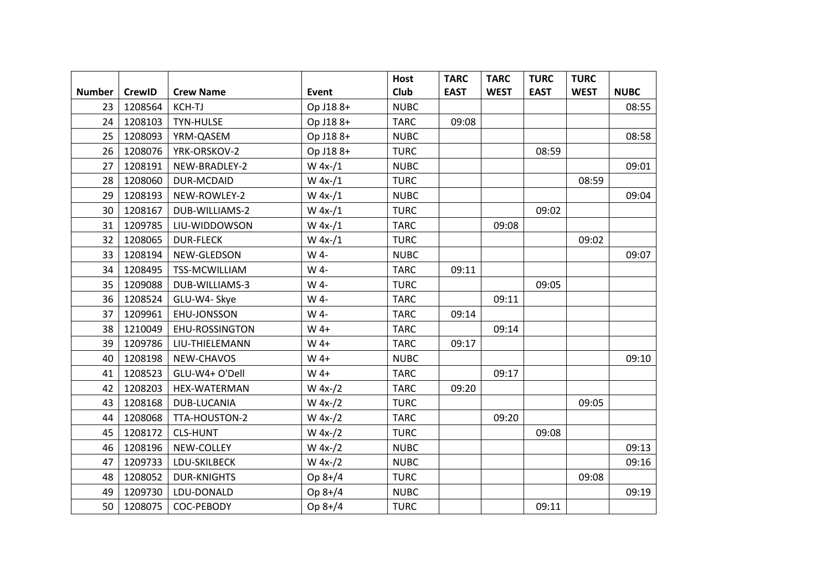|               |               |                    |              | <b>Host</b> | <b>TARC</b> | <b>TARC</b> | <b>TURC</b> | <b>TURC</b> |             |
|---------------|---------------|--------------------|--------------|-------------|-------------|-------------|-------------|-------------|-------------|
| <b>Number</b> | <b>CrewID</b> | <b>Crew Name</b>   | <b>Event</b> | Club        | <b>EAST</b> | <b>WEST</b> | <b>EAST</b> | <b>WEST</b> | <b>NUBC</b> |
| 23            | 1208564       | <b>KCH-TJ</b>      | Op J188+     | <b>NUBC</b> |             |             |             |             | 08:55       |
| 24            | 1208103       | TYN-HULSE          | Op J188+     | <b>TARC</b> | 09:08       |             |             |             |             |
| 25            | 1208093       | YRM-QASEM          | Op J18 8+    | <b>NUBC</b> |             |             |             |             | 08:58       |
| 26            | 1208076       | YRK-ORSKOV-2       | Op J188+     | <b>TURC</b> |             |             | 08:59       |             |             |
| 27            | 1208191       | NEW-BRADLEY-2      | $W 4x-1$     | <b>NUBC</b> |             |             |             |             | 09:01       |
| 28            | 1208060       | DUR-MCDAID         | $W 4x-1$     | <b>TURC</b> |             |             |             | 08:59       |             |
| 29            | 1208193       | NEW-ROWLEY-2       | $W 4x-1$     | <b>NUBC</b> |             |             |             |             | 09:04       |
| 30            | 1208167       | DUB-WILLIAMS-2     | $W$ 4x-/1    | <b>TURC</b> |             |             | 09:02       |             |             |
| 31            | 1209785       | LIU-WIDDOWSON      | $W 4x-1$     | <b>TARC</b> |             | 09:08       |             |             |             |
| 32            | 1208065       | <b>DUR-FLECK</b>   | $W 4x-1$     | <b>TURC</b> |             |             |             | 09:02       |             |
| 33            | 1208194       | NEW-GLEDSON        | W 4-         | <b>NUBC</b> |             |             |             |             | 09:07       |
| 34            | 1208495       | TSS-MCWILLIAM      | W 4-         | <b>TARC</b> | 09:11       |             |             |             |             |
| 35            | 1209088       | DUB-WILLIAMS-3     | W 4-         | <b>TURC</b> |             |             | 09:05       |             |             |
| 36            | 1208524       | GLU-W4- Skye       | W 4-         | <b>TARC</b> |             | 09:11       |             |             |             |
| 37            | 1209961       | EHU-JONSSON        | W 4-         | <b>TARC</b> | 09:14       |             |             |             |             |
| 38            | 1210049       | EHU-ROSSINGTON     | W 4+         | <b>TARC</b> |             | 09:14       |             |             |             |
| 39            | 1209786       | LIU-THIELEMANN     | W 4+         | <b>TARC</b> | 09:17       |             |             |             |             |
| 40            | 1208198       | NEW-CHAVOS         | W 4+         | <b>NUBC</b> |             |             |             |             | 09:10       |
| 41            | 1208523       | GLU-W4+ O'Dell     | W 4+         | <b>TARC</b> |             | 09:17       |             |             |             |
| 42            | 1208203       | HEX-WATERMAN       | $W 4x-2$     | <b>TARC</b> | 09:20       |             |             |             |             |
| 43            | 1208168       | DUB-LUCANIA        | $W 4x-2$     | <b>TURC</b> |             |             |             | 09:05       |             |
| 44            | 1208068       | TTA-HOUSTON-2      | $W 4x-2$     | <b>TARC</b> |             | 09:20       |             |             |             |
| 45            | 1208172       | <b>CLS-HUNT</b>    | $W 4x-2$     | <b>TURC</b> |             |             | 09:08       |             |             |
| 46            | 1208196       | NEW-COLLEY         | $W 4x-2$     | <b>NUBC</b> |             |             |             |             | 09:13       |
| 47            | 1209733       | LDU-SKILBECK       | $W 4x-2$     | <b>NUBC</b> |             |             |             |             | 09:16       |
| 48            | 1208052       | <b>DUR-KNIGHTS</b> | Op 8+/4      | <b>TURC</b> |             |             |             | 09:08       |             |
| 49            | 1209730       | LDU-DONALD         | Op 8+/4      | <b>NUBC</b> |             |             |             |             | 09:19       |
| 50            | 1208075       | COC-PEBODY         | Op 8+/4      | <b>TURC</b> |             |             | 09:11       |             |             |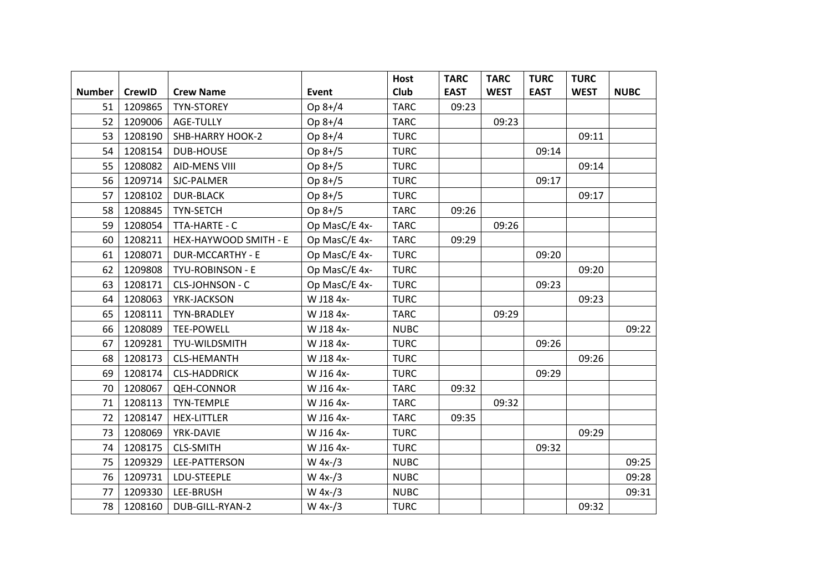|               |               |                         |               | <b>Host</b> | <b>TARC</b> | <b>TARC</b> | <b>TURC</b> | <b>TURC</b> |             |
|---------------|---------------|-------------------------|---------------|-------------|-------------|-------------|-------------|-------------|-------------|
| <b>Number</b> | <b>CrewID</b> | <b>Crew Name</b>        | Event         | Club        | <b>EAST</b> | <b>WEST</b> | <b>EAST</b> | <b>WEST</b> | <b>NUBC</b> |
| 51            | 1209865       | <b>TYN-STOREY</b>       | Op 8+/4       | <b>TARC</b> | 09:23       |             |             |             |             |
| 52            | 1209006       | AGE-TULLY               | Op 8+/4       | <b>TARC</b> |             | 09:23       |             |             |             |
| 53            | 1208190       | SHB-HARRY HOOK-2        | Op 8+/4       | <b>TURC</b> |             |             |             | 09:11       |             |
| 54            | 1208154       | <b>DUB-HOUSE</b>        | Op 8+/5       | <b>TURC</b> |             |             | 09:14       |             |             |
| 55            | 1208082       | AID-MENS VIII           | Op 8+/5       | <b>TURC</b> |             |             |             | 09:14       |             |
| 56            | 1209714       | SJC-PALMER              | Op 8+/5       | <b>TURC</b> |             |             | 09:17       |             |             |
| 57            | 1208102       | <b>DUR-BLACK</b>        | Op 8+/5       | <b>TURC</b> |             |             |             | 09:17       |             |
| 58            | 1208845       | TYN-SETCH               | Op 8+/5       | <b>TARC</b> | 09:26       |             |             |             |             |
| 59            | 1208054       | TTA-HARTE - C           | Op MasC/E 4x- | <b>TARC</b> |             | 09:26       |             |             |             |
| 60            | 1208211       | HEX-HAYWOOD SMITH - E   | Op MasC/E 4x- | <b>TARC</b> | 09:29       |             |             |             |             |
| 61            | 1208071       | <b>DUR-MCCARTHY - E</b> | Op MasC/E 4x- | <b>TURC</b> |             |             | 09:20       |             |             |
| 62            | 1209808       | TYU-ROBINSON - E        | Op MasC/E 4x- | <b>TURC</b> |             |             |             | 09:20       |             |
| 63            | 1208171       | CLS-JOHNSON - C         | Op MasC/E 4x- | <b>TURC</b> |             |             | 09:23       |             |             |
| 64            | 1208063       | YRK-JACKSON             | W J18 4x-     | <b>TURC</b> |             |             |             | 09:23       |             |
| 65            | 1208111       | TYN-BRADLEY             | W J18 4x-     | <b>TARC</b> |             | 09:29       |             |             |             |
| 66            | 1208089       | TEE-POWELL              | W J18 4x-     | <b>NUBC</b> |             |             |             |             | 09:22       |
| 67            | 1209281       | TYU-WILDSMITH           | W J18 4x-     | <b>TURC</b> |             |             | 09:26       |             |             |
| 68            | 1208173       | <b>CLS-HEMANTH</b>      | W J18 4x-     | <b>TURC</b> |             |             |             | 09:26       |             |
| 69            | 1208174       | <b>CLS-HADDRICK</b>     | W J16 4x-     | <b>TURC</b> |             |             | 09:29       |             |             |
| 70            | 1208067       | <b>QEH-CONNOR</b>       | W J16 4x-     | <b>TARC</b> | 09:32       |             |             |             |             |
| 71            | 1208113       | <b>TYN-TEMPLE</b>       | W J16 4x-     | <b>TARC</b> |             | 09:32       |             |             |             |
| 72            | 1208147       | <b>HEX-LITTLER</b>      | W J16 4x-     | <b>TARC</b> | 09:35       |             |             |             |             |
| 73            | 1208069       | YRK-DAVIE               | W J16 4x-     | <b>TURC</b> |             |             |             | 09:29       |             |
| 74            | 1208175       | <b>CLS-SMITH</b>        | W J16 4x-     | <b>TURC</b> |             |             | 09:32       |             |             |
| 75            | 1209329       | LEE-PATTERSON           | $W 4x- / 3$   | <b>NUBC</b> |             |             |             |             | 09:25       |
| 76            | 1209731       | LDU-STEEPLE             | $W 4x- / 3$   | <b>NUBC</b> |             |             |             |             | 09:28       |
| 77            | 1209330       | LEE-BRUSH               | $W 4x- / 3$   | <b>NUBC</b> |             |             |             |             | 09:31       |
| 78            | 1208160       | DUB-GILL-RYAN-2         | $W 4x-1/3$    | <b>TURC</b> |             |             |             | 09:32       |             |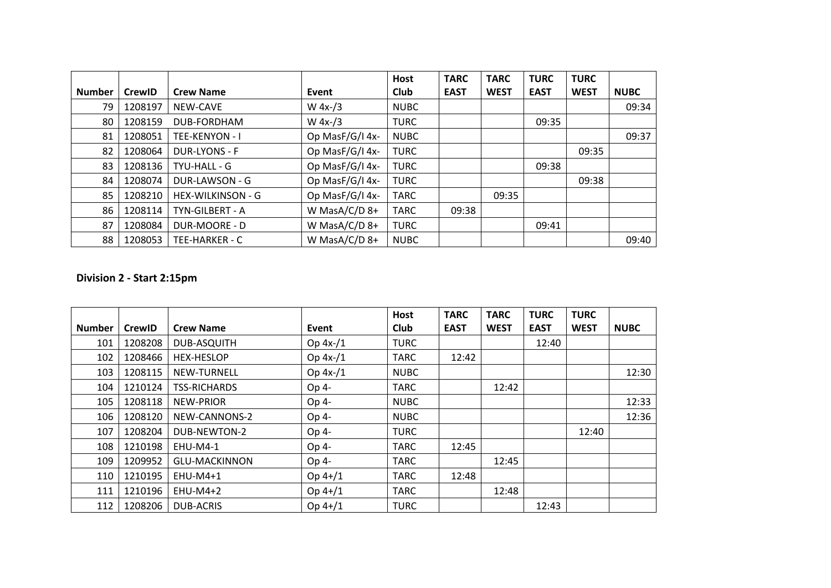|               |               |                      |                 | <b>Host</b> | <b>TARC</b> | <b>TARC</b> | <b>TURC</b> | <b>TURC</b> |             |
|---------------|---------------|----------------------|-----------------|-------------|-------------|-------------|-------------|-------------|-------------|
| <b>Number</b> | <b>CrewID</b> | <b>Crew Name</b>     | Event           | Club        | <b>EAST</b> | <b>WEST</b> | <b>EAST</b> | <b>WEST</b> | <b>NUBC</b> |
| 79            | 1208197       | NEW-CAVE             | $W 4x-1/3$      | <b>NUBC</b> |             |             |             |             | 09:34       |
| 80            | 1208159       | DUB-FORDHAM          | $W 4x-1/3$      | <b>TURC</b> |             |             | 09:35       |             |             |
| 81            | 1208051       | TEE-KENYON - I       | Op MasF/G/I 4x- | <b>NUBC</b> |             |             |             |             | 09:37       |
| 82            | 1208064       | <b>DUR-LYONS - F</b> | Op MasF/G/I 4x- | <b>TURC</b> |             |             |             | 09:35       |             |
| 83            | 1208136       | TYU-HALL - G         | Op MasF/G/I 4x- | <b>TURC</b> |             |             | 09:38       |             |             |
| 84            | 1208074       | DUR-LAWSON - G       | Op MasF/G/I 4x- | <b>TURC</b> |             |             |             | 09:38       |             |
| 85            | 1208210       | HEX-WILKINSON - G    | Op MasF/G/I 4x- | <b>TARC</b> |             | 09:35       |             |             |             |
| 86            | 1208114       | TYN-GILBERT - A      | W MasA/C/D 8+   | <b>TARC</b> | 09:38       |             |             |             |             |
| 87            | 1208084       | DUR-MOORE - D        | W MasA/C/D 8+   | <b>TURC</b> |             |             | 09:41       |             |             |
| 88            | 1208053       | TEE-HARKER - C       | W MasA/C/D 8+   | <b>NUBC</b> |             |             |             |             | 09:40       |

## **Division 2 - Start 2:15pm**

|               |               |                      |            | <b>Host</b> | <b>TARC</b> | <b>TARC</b> | <b>TURC</b> | <b>TURC</b> |             |
|---------------|---------------|----------------------|------------|-------------|-------------|-------------|-------------|-------------|-------------|
| <b>Number</b> | <b>CrewID</b> | <b>Crew Name</b>     | Event      | <b>Club</b> | <b>EAST</b> | <b>WEST</b> | <b>EAST</b> | <b>WEST</b> | <b>NUBC</b> |
| 101           | 1208208       | <b>DUB-ASQUITH</b>   | Op $4x-1$  | <b>TURC</b> |             |             | 12:40       |             |             |
| 102           | 1208466       | <b>HEX-HESLOP</b>    | Op $4x-/1$ | <b>TARC</b> | 12:42       |             |             |             |             |
| 103           | 1208115       | NEW-TURNELL          | Op $4x-/1$ | <b>NUBC</b> |             |             |             |             | 12:30       |
| 104           | 1210124       | <b>TSS-RICHARDS</b>  | Op 4-      | <b>TARC</b> |             | 12:42       |             |             |             |
| 105           | 1208118       | <b>NEW-PRIOR</b>     | Op 4-      | <b>NUBC</b> |             |             |             |             | 12:33       |
| 106           | 1208120       | NEW-CANNONS-2        | Op 4-      | <b>NUBC</b> |             |             |             |             | 12:36       |
| 107           | 1208204       | DUB-NEWTON-2         | Op 4-      | <b>TURC</b> |             |             |             | 12:40       |             |
| 108           | 1210198       | EHU-M4-1             | Op 4-      | <b>TARC</b> | 12:45       |             |             |             |             |
| 109           | 1209952       | <b>GLU-MACKINNON</b> | Op 4-      | <b>TARC</b> |             | 12:45       |             |             |             |
| 110           | 1210195       | EHU-M4+1             | $Op 4+/1$  | <b>TARC</b> | 12:48       |             |             |             |             |
| 111           | 1210196       | EHU-M4+2             | $Op 4+/1$  | <b>TARC</b> |             | 12:48       |             |             |             |
| 112           | 1208206       | <b>DUB-ACRIS</b>     | $Op 4+/1$  | <b>TURC</b> |             |             | 12:43       |             |             |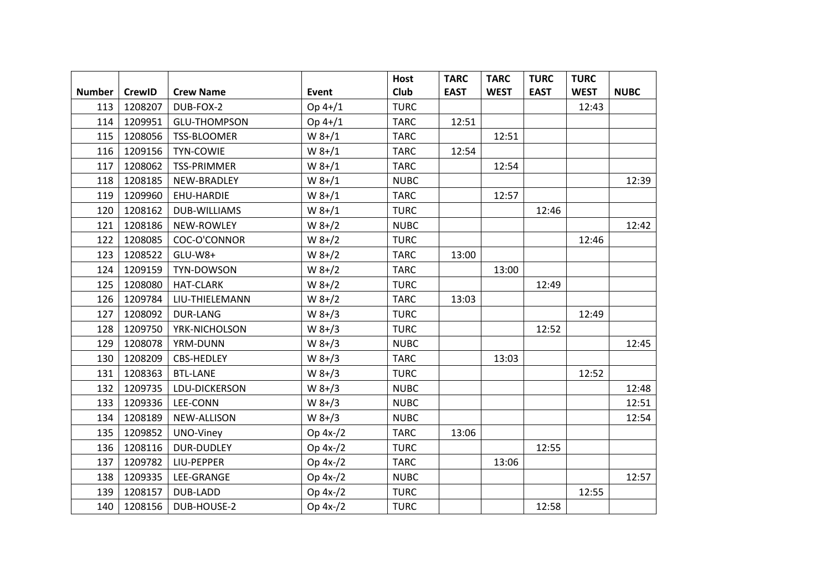|               |               |                     |             | <b>Host</b> | <b>TARC</b> | <b>TARC</b> | <b>TURC</b> | <b>TURC</b> |             |
|---------------|---------------|---------------------|-------------|-------------|-------------|-------------|-------------|-------------|-------------|
| <b>Number</b> | <b>CrewID</b> | <b>Crew Name</b>    | Event       | Club        | <b>EAST</b> | <b>WEST</b> | <b>EAST</b> | <b>WEST</b> | <b>NUBC</b> |
| 113           | 1208207       | DUB-FOX-2           | Op 4+/1     | <b>TURC</b> |             |             |             | 12:43       |             |
| 114           | 1209951       | <b>GLU-THOMPSON</b> | Op 4+/1     | <b>TARC</b> | 12:51       |             |             |             |             |
| 115           | 1208056       | TSS-BLOOMER         | $W 8+/1$    | <b>TARC</b> |             | 12:51       |             |             |             |
| 116           | 1209156       | TYN-COWIE           | $W 8 + / 1$ | <b>TARC</b> | 12:54       |             |             |             |             |
| 117           | 1208062       | <b>TSS-PRIMMER</b>  | $W 8+/1$    | <b>TARC</b> |             | 12:54       |             |             |             |
| 118           | 1208185       | NEW-BRADLEY         | $W 8 + / 1$ | <b>NUBC</b> |             |             |             |             | 12:39       |
| 119           | 1209960       | EHU-HARDIE          | $W 8 + / 1$ | <b>TARC</b> |             | 12:57       |             |             |             |
| 120           | 1208162       | <b>DUB-WILLIAMS</b> | $W 8 + / 1$ | <b>TURC</b> |             |             | 12:46       |             |             |
| 121           | 1208186       | NEW-ROWLEY          | $W 8+/2$    | <b>NUBC</b> |             |             |             |             | 12:42       |
| 122           | 1208085       | COC-O'CONNOR        | $W 8+/2$    | <b>TURC</b> |             |             |             | 12:46       |             |
| 123           | 1208522       | GLU-W8+             | $W 8+/2$    | <b>TARC</b> | 13:00       |             |             |             |             |
| 124           | 1209159       | TYN-DOWSON          | $W 8+/2$    | <b>TARC</b> |             | 13:00       |             |             |             |
| 125           | 1208080       | <b>HAT-CLARK</b>    | $W 8+/2$    | <b>TURC</b> |             |             | 12:49       |             |             |
| 126           | 1209784       | LIU-THIELEMANN      | $W 8+/2$    | <b>TARC</b> | 13:03       |             |             |             |             |
| 127           | 1208092       | <b>DUR-LANG</b>     | $W 8+/3$    | <b>TURC</b> |             |             |             | 12:49       |             |
| 128           | 1209750       | YRK-NICHOLSON       | $W 8 + 3$   | <b>TURC</b> |             |             | 12:52       |             |             |
| 129           | 1208078       | YRM-DUNN            | $W 8+/3$    | <b>NUBC</b> |             |             |             |             | 12:45       |
| 130           | 1208209       | <b>CBS-HEDLEY</b>   | $W 8 + 3$   | <b>TARC</b> |             | 13:03       |             |             |             |
| 131           | 1208363       | <b>BTL-LANE</b>     | $W 8 + 3$   | <b>TURC</b> |             |             |             | 12:52       |             |
| 132           | 1209735       | LDU-DICKERSON       | $W 8 + 3$   | <b>NUBC</b> |             |             |             |             | 12:48       |
| 133           | 1209336       | LEE-CONN            | $W 8+/3$    | <b>NUBC</b> |             |             |             |             | 12:51       |
| 134           | 1208189       | NEW-ALLISON         | $W 8+/3$    | <b>NUBC</b> |             |             |             |             | 12:54       |
| 135           | 1209852       | UNO-Viney           | Op 4x-/2    | <b>TARC</b> | 13:06       |             |             |             |             |
| 136           | 1208116       | <b>DUR-DUDLEY</b>   | Op 4x-/2    | <b>TURC</b> |             |             | 12:55       |             |             |
| 137           | 1209782       | LIU-PEPPER          | Op 4x-/2    | <b>TARC</b> |             | 13:06       |             |             |             |
| 138           | 1209335       | LEE-GRANGE          | Op 4x-/2    | <b>NUBC</b> |             |             |             |             | 12:57       |
| 139           | 1208157       | DUB-LADD            | Op 4x-/2    | <b>TURC</b> |             |             |             | 12:55       |             |
| 140           | 1208156       | DUB-HOUSE-2         | Op 4x-/2    | <b>TURC</b> |             |             | 12:58       |             |             |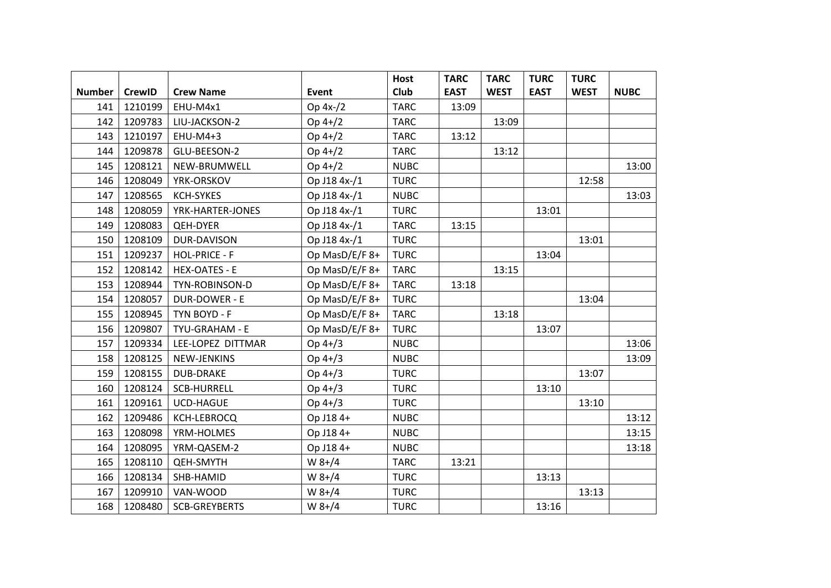|               |               |                      |                | <b>Host</b> | <b>TARC</b> | <b>TARC</b> | <b>TURC</b> | <b>TURC</b> |             |
|---------------|---------------|----------------------|----------------|-------------|-------------|-------------|-------------|-------------|-------------|
| <b>Number</b> | <b>CrewID</b> | <b>Crew Name</b>     | Event          | Club        | <b>EAST</b> | <b>WEST</b> | <b>EAST</b> | <b>WEST</b> | <b>NUBC</b> |
| 141           | 1210199       | EHU-M4x1             | Op 4x-/2       | <b>TARC</b> | 13:09       |             |             |             |             |
| 142           | 1209783       | LIU-JACKSON-2        | Op 4+/2        | <b>TARC</b> |             | 13:09       |             |             |             |
| 143           | 1210197       | EHU-M4+3             | Op 4+/2        | <b>TARC</b> | 13:12       |             |             |             |             |
| 144           | 1209878       | GLU-BEESON-2         | $Op 4+/2$      | <b>TARC</b> |             | 13:12       |             |             |             |
| 145           | 1208121       | NEW-BRUMWELL         | $Op 4+/2$      | <b>NUBC</b> |             |             |             |             | 13:00       |
| 146           | 1208049       | YRK-ORSKOV           | Op J18 4x-/1   | <b>TURC</b> |             |             |             | 12:58       |             |
| 147           | 1208565       | <b>KCH-SYKES</b>     | Op J18 4x-/1   | <b>NUBC</b> |             |             |             |             | 13:03       |
| 148           | 1208059       | YRK-HARTER-JONES     | Op J18 4x-/1   | <b>TURC</b> |             |             | 13:01       |             |             |
| 149           | 1208083       | <b>QEH-DYER</b>      | Op J18 4x-/1   | <b>TARC</b> | 13:15       |             |             |             |             |
| 150           | 1208109       | DUR-DAVISON          | Op J18 4x-/1   | <b>TURC</b> |             |             |             | 13:01       |             |
| 151           | 1209237       | <b>HOL-PRICE - F</b> | Op MasD/E/F 8+ | <b>TURC</b> |             |             | 13:04       |             |             |
| 152           | 1208142       | <b>HEX-OATES - E</b> | Op MasD/E/F 8+ | <b>TARC</b> |             | 13:15       |             |             |             |
| 153           | 1208944       | TYN-ROBINSON-D       | Op MasD/E/F 8+ | <b>TARC</b> | 13:18       |             |             |             |             |
| 154           | 1208057       | DUR-DOWER - E        | Op MasD/E/F 8+ | <b>TURC</b> |             |             |             | 13:04       |             |
| 155           | 1208945       | TYN BOYD - F         | Op MasD/E/F 8+ | <b>TARC</b> |             | 13:18       |             |             |             |
| 156           | 1209807       | TYU-GRAHAM - E       | Op MasD/E/F 8+ | <b>TURC</b> |             |             | 13:07       |             |             |
| 157           | 1209334       | LEE-LOPEZ DITTMAR    | Op 4+/3        | <b>NUBC</b> |             |             |             |             | 13:06       |
| 158           | 1208125       | NEW-JENKINS          | Op 4+/3        | <b>NUBC</b> |             |             |             |             | 13:09       |
| 159           | 1208155       | <b>DUB-DRAKE</b>     | Op 4+/3        | <b>TURC</b> |             |             |             | 13:07       |             |
| 160           | 1208124       | <b>SCB-HURRELL</b>   | Op 4+/3        | <b>TURC</b> |             |             | 13:10       |             |             |
| 161           | 1209161       | UCD-HAGUE            | Op 4+/3        | <b>TURC</b> |             |             |             | 13:10       |             |
| 162           | 1209486       | KCH-LEBROCQ          | Op J18 4+      | <b>NUBC</b> |             |             |             |             | 13:12       |
| 163           | 1208098       | YRM-HOLMES           | Op J18 4+      | <b>NUBC</b> |             |             |             |             | 13:15       |
| 164           | 1208095       | YRM-QASEM-2          | Op J18 4+      | <b>NUBC</b> |             |             |             |             | 13:18       |
| 165           | 1208110       | <b>QEH-SMYTH</b>     | $W 8+/4$       | <b>TARC</b> | 13:21       |             |             |             |             |
| 166           | 1208134       | SHB-HAMID            | W 8+/4         | <b>TURC</b> |             |             | 13:13       |             |             |
| 167           | 1209910       | VAN-WOOD             | W 8+/4         | <b>TURC</b> |             |             |             | 13:13       |             |
| 168           | 1208480       | <b>SCB-GREYBERTS</b> | $W 8+/4$       | <b>TURC</b> |             |             | 13:16       |             |             |